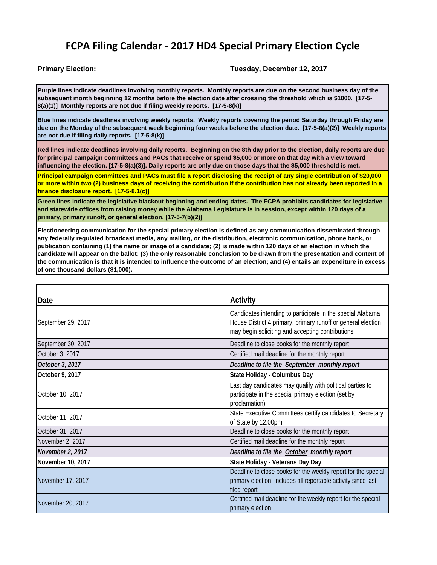## **FCPA Filing Calendar ‐ 2017 HD4 Special Primary Election Cycle**

## **Primary Election: Tuesday, December 12, 2017**

**Purple lines indicate deadlines involving monthly reports. Monthly reports are due on the second business day of the subsequent month beginning 12 months before the election date after crossing the threshold which is \$1000. [17-5- 8(a)(1)] Monthly reports are not due if filing weekly reports. [17-5-8(k)]** 

**Blue lines indicate deadlines involving weekly reports. Weekly reports covering the period Saturday through Friday are due on the Monday of the subsequent week beginning four weeks before the election date. [17-5-8(a)(2)] Weekly reports are not due if filing daily reports. [17-5-8(k)]** 

**Red lines indicate deadlines involving daily reports. Beginning on the 8th day prior to the election, daily reports are due for principal campaign committees and PACs that receive or spend \$5,000 or more on that day with a view toward influencing the election. [17-5-8(a)(3)]. Daily reports are only due on those days that the \$5,000 threshold is met.** 

**Principal campaign committees and PACs must file a report disclosing the receipt of any single contribution of \$20,000 or more within two (2) business days of receiving the contribution if the contribution has not already been reported in a finance disclosure report. [17-5-8.1(c)]**

**Green lines indicate the legislative blackout beginning and ending dates. The FCPA prohibits candidates for legislative and statewide offices from raising money while the Alabama Legislature is in session, except within 120 days of a primary, primary runoff, or general election. [17-5-7(b)(2)]**

**Electioneering communication for the special primary election is defined as any communication disseminated through any federally regulated broadcast media, any mailing, or the distribution, electronic communication, phone bank, or publication containing (1) the name or image of a candidate; (2) is made within 120 days of an election in which the candidate will appear on the ballot; (3) the only reasonable conclusion to be drawn from the presentation and content of the communication is that it is intended to influence the outcome of an election; and (4) entails an expenditure in excess of one thousand dollars (\$1,000).**

| Date               | <b>Activity</b>                                                                                                                                                                |
|--------------------|--------------------------------------------------------------------------------------------------------------------------------------------------------------------------------|
| September 29, 2017 | Candidates intending to participate in the special Alabama<br>House District 4 primary, primary runoff or general election<br>may begin soliciting and accepting contributions |
| September 30, 2017 | Deadline to close books for the monthly report                                                                                                                                 |
| October 3, 2017    | Certified mail deadline for the monthly report                                                                                                                                 |
| October 3, 2017    | Deadline to file the September monthly report                                                                                                                                  |
| October 9, 2017    | State Holiday - Columbus Day                                                                                                                                                   |
| October 10, 2017   | Last day candidates may qualify with political parties to<br>participate in the special primary election (set by<br>proclamation)                                              |
| October 11, 2017   | State Executive Committees certify candidates to Secretary<br>of State by 12:00pm                                                                                              |
| October 31, 2017   | Deadline to close books for the monthly report                                                                                                                                 |
| November 2, 2017   | Certified mail deadline for the monthly report                                                                                                                                 |
| November 2, 2017   | Deadline to file the <b>October</b> monthly report                                                                                                                             |
| November 10, 2017  | State Holiday - Veterans Day Day                                                                                                                                               |
| November 17, 2017  | Deadline to close books for the weekly report for the special<br>primary election; includes all reportable activity since last<br>filed report                                 |
| November 20, 2017  | Certified mail deadline for the weekly report for the special<br>primary election                                                                                              |